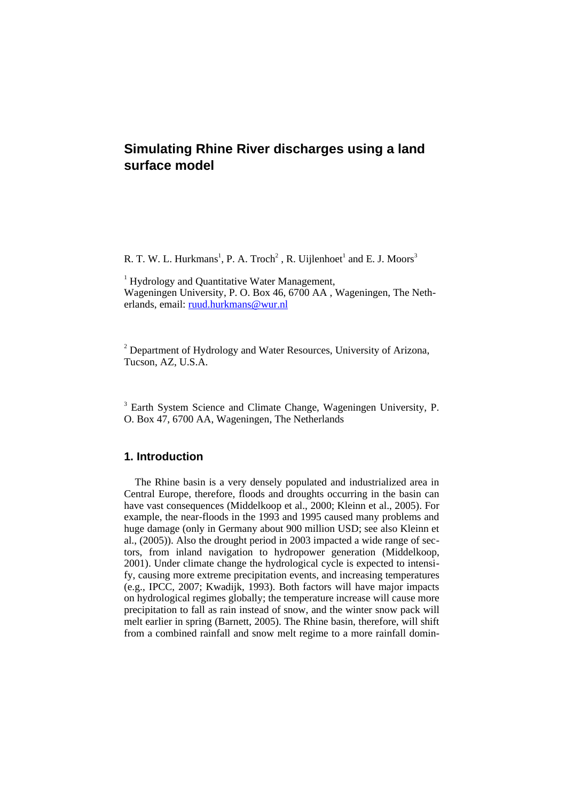# **Simulating Rhine River discharges using a land surface model**

R. T. W. L. Hurkmans<sup>1</sup>, P. A. Troch<sup>2</sup>, R. Uijlenhoet<sup>1</sup> and E. J. Moors<sup>3</sup>

<sup>1</sup> Hydrology and Quantitative Water Management, Wageningen University, P. O. Box 46, 6700 AA , Wageningen, The Netherlands, email: [ruud.hurkmans@wur.nl](mailto:ruud.hurkmans@wur.nl)

 $2$  Department of Hydrology and Water Resources, University of Arizona, Tucson, AZ, U.S.A.

<sup>3</sup> Earth System Science and Climate Change, Wageningen University, P. O. Box 47, 6700 AA, Wageningen, The Netherlands

# **1. Introduction**

The Rhine basin is a very densely populated and industrialized area in Central Europe, therefore, floods and droughts occurring in the basin can have vast consequences (Middelkoop et al., 2000; Kleinn et al., 2005). For example, the near-floods in the 1993 and 1995 caused many problems and huge damage (only in Germany about 900 million USD; see also Kleinn et al., (2005)). Also the drought period in 2003 impacted a wide range of sectors, from inland navigation to hydropower generation (Middelkoop, 2001). Under climate change the hydrological cycle is expected to intensify, causing more extreme precipitation events, and increasing temperatures (e.g., IPCC, 2007; Kwadijk, 1993). Both factors will have major impacts on hydrological regimes globally; the temperature increase will cause more precipitation to fall as rain instead of snow, and the winter snow pack will melt earlier in spring (Barnett, 2005). The Rhine basin, therefore, will shift from a combined rainfall and snow melt regime to a more rainfall domin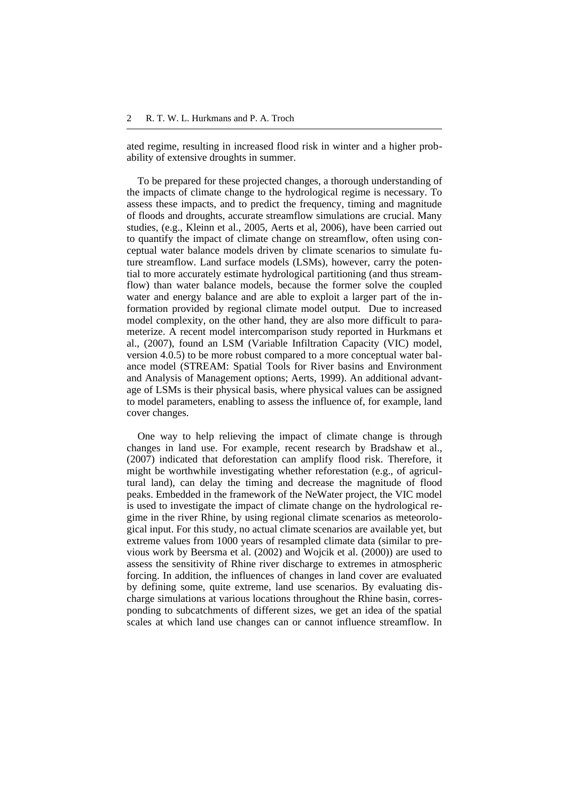ated regime, resulting in increased flood risk in winter and a higher probability of extensive droughts in summer.

To be prepared for these projected changes, a thorough understanding of the impacts of climate change to the hydrological regime is necessary. To assess these impacts, and to predict the frequency, timing and magnitude of floods and droughts, accurate streamflow simulations are crucial. Many studies, (e.g., Kleinn et al., 2005, Aerts et al, 2006), have been carried out to quantify the impact of climate change on streamflow, often using conceptual water balance models driven by climate scenarios to simulate future streamflow. Land surface models (LSMs), however, carry the potential to more accurately estimate hydrological partitioning (and thus streamflow) than water balance models, because the former solve the coupled water and energy balance and are able to exploit a larger part of the information provided by regional climate model output. Due to increased model complexity, on the other hand, they are also more difficult to parameterize. A recent model intercomparison study reported in Hurkmans et al., (2007), found an LSM (Variable Infiltration Capacity (VIC) model, version 4.0.5) to be more robust compared to a more conceptual water balance model (STREAM: Spatial Tools for River basins and Environment and Analysis of Management options; Aerts, 1999). An additional advantage of LSMs is their physical basis, where physical values can be assigned to model parameters, enabling to assess the influence of, for example, land cover changes.

One way to help relieving the impact of climate change is through changes in land use. For example, recent research by Bradshaw et al., (2007) indicated that deforestation can amplify flood risk. Therefore, it might be worthwhile investigating whether reforestation (e.g., of agricultural land), can delay the timing and decrease the magnitude of flood peaks. Embedded in the framework of the NeWater project, the VIC model is used to investigate the impact of climate change on the hydrological regime in the river Rhine, by using regional climate scenarios as meteorological input. For this study, no actual climate scenarios are available yet, but extreme values from 1000 years of resampled climate data (similar to previous work by Beersma et al. (2002) and Wojcik et al. (2000)) are used to assess the sensitivity of Rhine river discharge to extremes in atmospheric forcing. In addition, the influences of changes in land cover are evaluated by defining some, quite extreme, land use scenarios. By evaluating discharge simulations at various locations throughout the Rhine basin, corresponding to subcatchments of different sizes, we get an idea of the spatial scales at which land use changes can or cannot influence streamflow. In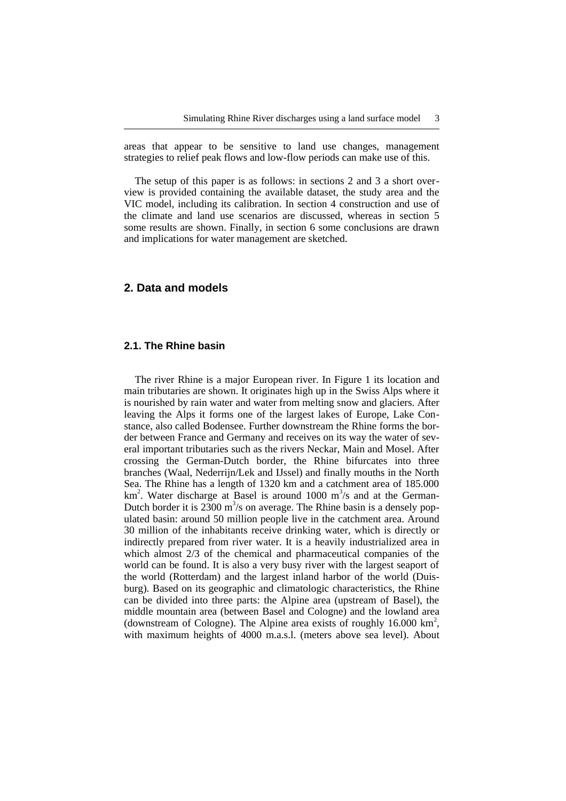areas that appear to be sensitive to land use changes, management strategies to relief peak flows and low-flow periods can make use of this.

The setup of this paper is as follows: in sections 2 and 3 a short overview is provided containing the available dataset, the study area and the VIC model, including its calibration. In section 4 construction and use of the climate and land use scenarios are discussed, whereas in section 5 some results are shown. Finally, in section 6 some conclusions are drawn and implications for water management are sketched.

# **2. Data and models**

## **2.1. The Rhine basin**

The river Rhine is a major European river. In Figure 1 its location and main tributaries are shown. It originates high up in the Swiss Alps where it is nourished by rain water and water from melting snow and glaciers. After leaving the Alps it forms one of the largest lakes of Europe, Lake Constance, also called Bodensee. Further downstream the Rhine forms the border between France and Germany and receives on its way the water of several important tributaries such as the rivers Neckar, Main and Mosel. After crossing the German-Dutch border, the Rhine bifurcates into three branches (Waal, Nederrijn/Lek and IJssel) and finally mouths in the North Sea. The Rhine has a length of 1320 km and a catchment area of 185.000 km<sup>2</sup>. Water discharge at Basel is around 1000 m<sup>3</sup>/s and at the German-Dutch border it is  $2300 \text{ m}^3/\text{s}$  on average. The Rhine basin is a densely populated basin: around 50 million people live in the catchment area. Around 30 million of the inhabitants receive drinking water, which is directly or indirectly prepared from river water. It is a heavily industrialized area in which almost 2/3 of the chemical and pharmaceutical companies of the world can be found. It is also a very busy river with the largest seaport of the world (Rotterdam) and the largest inland harbor of the world (Duisburg). Based on its geographic and climatologic characteristics, the Rhine can be divided into three parts: the Alpine area (upstream of Basel), the middle mountain area (between Basel and Cologne) and the lowland area (downstream of Cologne). The Alpine area exists of roughly  $16.000 \text{ km}^2$ , with maximum heights of 4000 m.a.s.l. (meters above sea level). About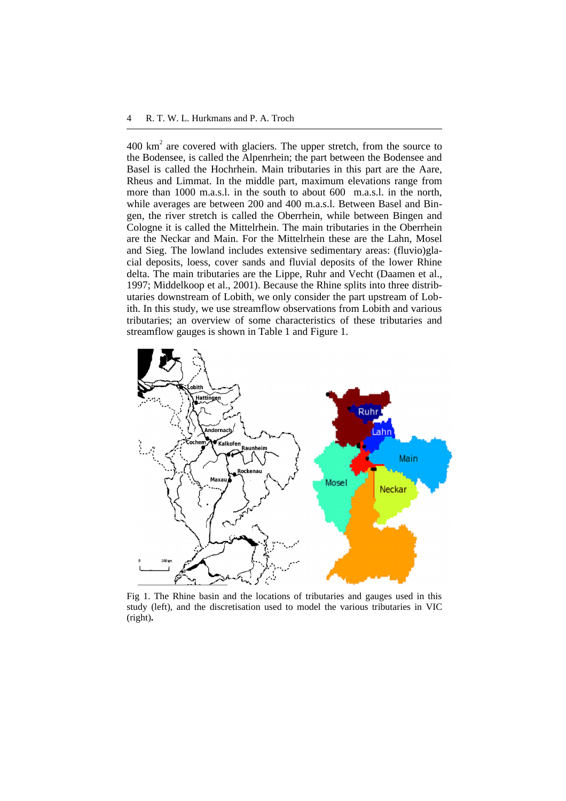$400 \text{ km}^2$  are covered with glaciers. The upper stretch, from the source to the Bodensee, is called the Alpenrhein; the part between the Bodensee and Basel is called the Hochrhein. Main tributaries in this part are the Aare, Rheus and Limmat. In the middle part, maximum elevations range from more than 1000 m.a.s.l. in the south to about 600 m.a.s.l. in the north, while averages are between 200 and 400 m.a.s.l. Between Basel and Bingen, the river stretch is called the Oberrhein, while between Bingen and Cologne it is called the Mittelrhein. The main tributaries in the Oberrhein are the Neckar and Main. For the Mittelrhein these are the Lahn, Mosel and Sieg. The lowland includes extensive sedimentary areas: (fluvio)glacial deposits, loess, cover sands and fluvial deposits of the lower Rhine delta. The main tributaries are the Lippe, Ruhr and Vecht (Daamen et al., 1997; Middelkoop et al., 2001). Because the Rhine splits into three distributaries downstream of Lobith, we only consider the part upstream of Lobith. In this study, we use streamflow observations from Lobith and various tributaries; an overview of some characteristics of these tributaries and streamflow gauges is shown in Table 1 and Figure 1.



Fig 1. The Rhine basin and the locations of tributaries and gauges used in this study (left), and the discretisation used to model the various tributaries in VIC (right)**.**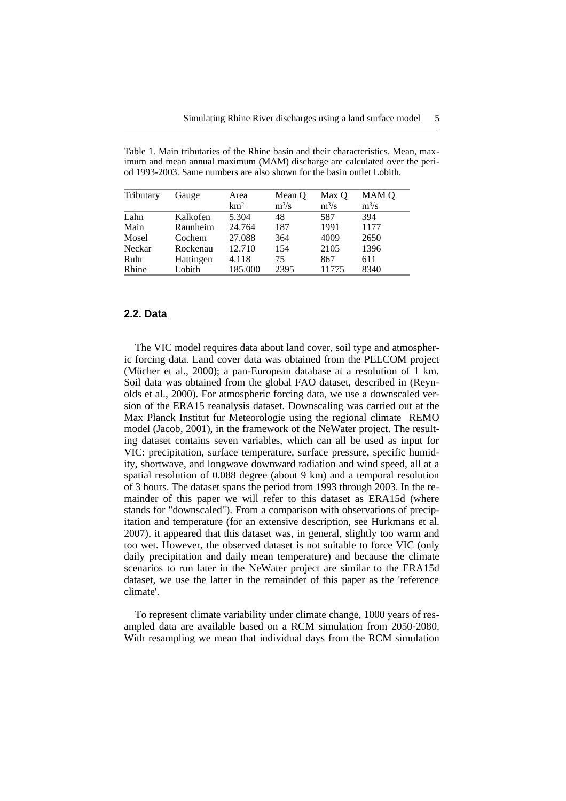Table 1. Main tributaries of the Rhine basin and their characteristics. Mean, maximum and mean annual maximum (MAM) discharge are calculated over the period 1993-2003. Same numbers are also shown for the basin outlet Lobith.

| Tributary | Gauge     | Area            | Mean Q  | Max O   | MAM Q   |  |  |
|-----------|-----------|-----------------|---------|---------|---------|--|--|
|           |           | km <sup>2</sup> | $m^3/s$ | $m^3/s$ | $m^3/s$ |  |  |
| Lahn      | Kalkofen  | 5.304           | 48      | 587     | 394     |  |  |
| Main      | Raunheim  | 24.764          | 187     | 1991    | 1177    |  |  |
| Mosel     | Cochem    | 27.088          | 364     | 4009    | 2650    |  |  |
| Neckar    | Rockenau  | 12.710          | 154     | 2105    | 1396    |  |  |
| Ruhr      | Hattingen | 4.118           | 75      | 867     | 611     |  |  |
| Rhine     | Lobith    | 185.000         | 2395    | 11775   | 8340    |  |  |

#### **2.2. Data**

The VIC model requires data about land cover, soil type and atmospheric forcing data. Land cover data was obtained from the PELCOM project (Mücher et al., 2000); a pan-European database at a resolution of 1 km. Soil data was obtained from the global FAO dataset, described in (Reynolds et al., 2000). For atmospheric forcing data, we use a downscaled version of the ERA15 reanalysis dataset. Downscaling was carried out at the Max Planck Institut fur Meteorologie using the regional climate REMO model (Jacob, 2001), in the framework of the NeWater project. The resulting dataset contains seven variables, which can all be used as input for VIC: precipitation, surface temperature, surface pressure, specific humidity, shortwave, and longwave downward radiation and wind speed, all at a spatial resolution of 0.088 degree (about 9 km) and a temporal resolution of 3 hours. The dataset spans the period from 1993 through 2003. In the remainder of this paper we will refer to this dataset as ERA15d (where stands for "downscaled"). From a comparison with observations of precipitation and temperature (for an extensive description, see Hurkmans et al. 2007), it appeared that this dataset was, in general, slightly too warm and too wet. However, the observed dataset is not suitable to force VIC (only daily precipitation and daily mean temperature) and because the climate scenarios to run later in the NeWater project are similar to the ERA15d dataset, we use the latter in the remainder of this paper as the 'reference climate'.

To represent climate variability under climate change, 1000 years of resampled data are available based on a RCM simulation from 2050-2080. With resampling we mean that individual days from the RCM simulation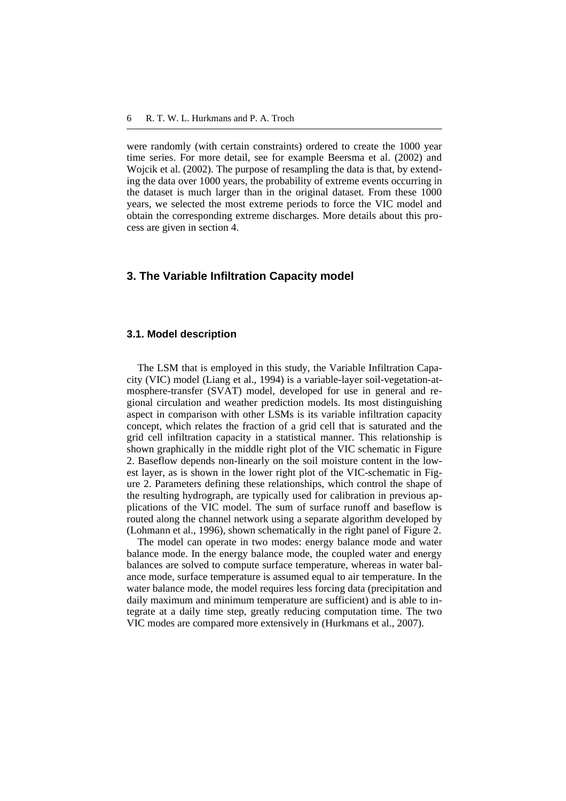were randomly (with certain constraints) ordered to create the 1000 year time series. For more detail, see for example Beersma et al. (2002) and Wojcik et al. (2002). The purpose of resampling the data is that, by extending the data over 1000 years, the probability of extreme events occurring in the dataset is much larger than in the original dataset. From these 1000 years, we selected the most extreme periods to force the VIC model and obtain the corresponding extreme discharges. More details about this process are given in section 4.

## **3. The Variable Infiltration Capacity model**

#### **3.1. Model description**

The LSM that is employed in this study, the Variable Infiltration Capacity (VIC) model (Liang et al., 1994) is a variable-layer soil-vegetation-atmosphere-transfer (SVAT) model, developed for use in general and regional circulation and weather prediction models. Its most distinguishing aspect in comparison with other LSMs is its variable infiltration capacity concept, which relates the fraction of a grid cell that is saturated and the grid cell infiltration capacity in a statistical manner. This relationship is shown graphically in the middle right plot of the VIC schematic in Figure 2. Baseflow depends non-linearly on the soil moisture content in the lowest layer, as is shown in the lower right plot of the VIC-schematic in Figure 2. Parameters defining these relationships, which control the shape of the resulting hydrograph, are typically used for calibration in previous applications of the VIC model. The sum of surface runoff and baseflow is routed along the channel network using a separate algorithm developed by (Lohmann et al., 1996), shown schematically in the right panel of Figure 2.

The model can operate in two modes: energy balance mode and water balance mode. In the energy balance mode, the coupled water and energy balances are solved to compute surface temperature, whereas in water balance mode, surface temperature is assumed equal to air temperature. In the water balance mode, the model requires less forcing data (precipitation and daily maximum and minimum temperature are sufficient) and is able to integrate at a daily time step, greatly reducing computation time. The two VIC modes are compared more extensively in (Hurkmans et al., 2007).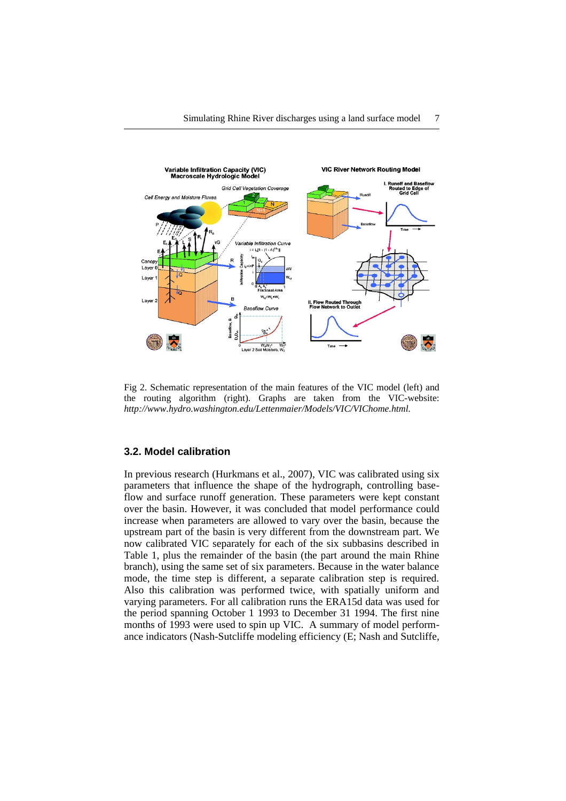

Fig 2. Schematic representation of the main features of the VIC model (left) and the routing algorithm (right). Graphs are taken from the VIC-website: *http://www.hydro.washington.edu/Lettenmaier/Models/VIC/VIChome.html.*

#### **3.2. Model calibration**

In previous research (Hurkmans et al., 2007), VIC was calibrated using six parameters that influence the shape of the hydrograph, controlling baseflow and surface runoff generation. These parameters were kept constant over the basin. However, it was concluded that model performance could increase when parameters are allowed to vary over the basin, because the upstream part of the basin is very different from the downstream part. We now calibrated VIC separately for each of the six subbasins described in Table 1, plus the remainder of the basin (the part around the main Rhine branch), using the same set of six parameters. Because in the water balance mode, the time step is different, a separate calibration step is required. Also this calibration was performed twice, with spatially uniform and varying parameters. For all calibration runs the ERA15d data was used for the period spanning October 1 1993 to December 31 1994. The first nine months of 1993 were used to spin up VIC. A summary of model performance indicators (Nash-Sutcliffe modeling efficiency (E; Nash and Sutcliffe,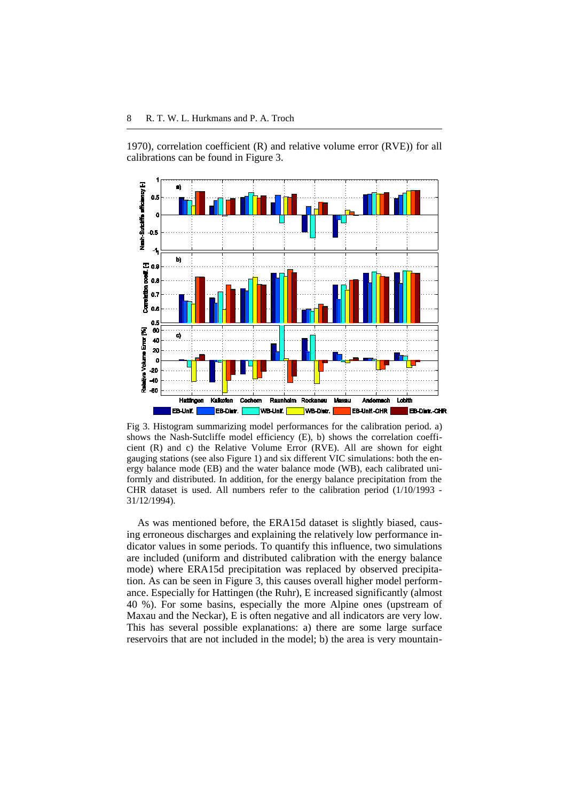1970), correlation coefficient (R) and relative volume error (RVE)) for all calibrations can be found in Figure 3.



Fig 3. Histogram summarizing model performances for the calibration period. a) shows the Nash-Sutcliffe model efficiency (E), b) shows the correlation coefficient (R) and c) the Relative Volume Error (RVE). All are shown for eight gauging stations (see also Figure 1) and six different VIC simulations: both the energy balance mode (EB) and the water balance mode (WB), each calibrated uniformly and distributed. In addition, for the energy balance precipitation from the CHR dataset is used. All numbers refer to the calibration period (1/10/1993 - 31/12/1994).

As was mentioned before, the ERA15d dataset is slightly biased, causing erroneous discharges and explaining the relatively low performance indicator values in some periods. To quantify this influence, two simulations are included (uniform and distributed calibration with the energy balance mode) where ERA15d precipitation was replaced by observed precipitation. As can be seen in Figure 3, this causes overall higher model performance. Especially for Hattingen (the Ruhr), E increased significantly (almost 40 %). For some basins, especially the more Alpine ones (upstream of Maxau and the Neckar), E is often negative and all indicators are very low. This has several possible explanations: a) there are some large surface reservoirs that are not included in the model; b) the area is very mountain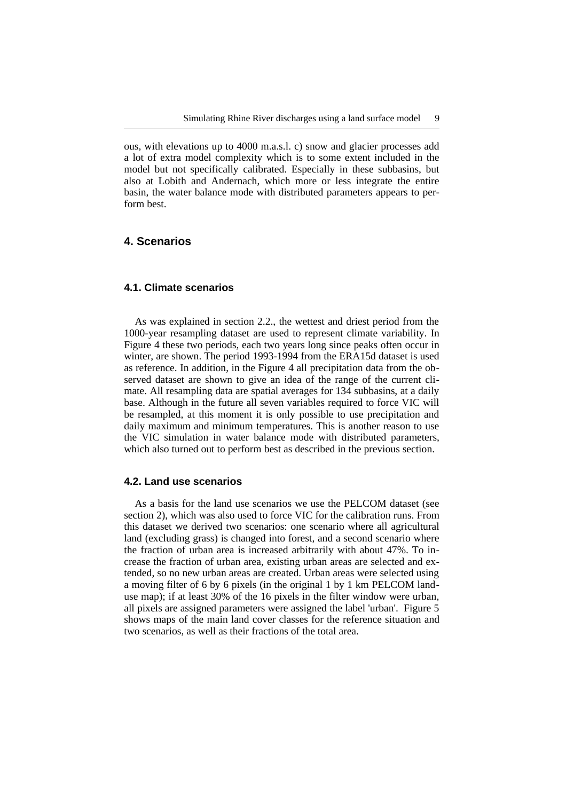ous, with elevations up to 4000 m.a.s.l. c) snow and glacier processes add a lot of extra model complexity which is to some extent included in the model but not specifically calibrated. Especially in these subbasins, but also at Lobith and Andernach, which more or less integrate the entire basin, the water balance mode with distributed parameters appears to perform best.

# **4. Scenarios**

## **4.1. Climate scenarios**

As was explained in section 2.2., the wettest and driest period from the 1000-year resampling dataset are used to represent climate variability. In Figure 4 these two periods, each two years long since peaks often occur in winter, are shown. The period 1993-1994 from the ERA15d dataset is used as reference. In addition, in the Figure 4 all precipitation data from the observed dataset are shown to give an idea of the range of the current climate. All resampling data are spatial averages for 134 subbasins, at a daily base. Although in the future all seven variables required to force VIC will be resampled, at this moment it is only possible to use precipitation and daily maximum and minimum temperatures. This is another reason to use the VIC simulation in water balance mode with distributed parameters, which also turned out to perform best as described in the previous section.

#### **4.2. Land use scenarios**

As a basis for the land use scenarios we use the PELCOM dataset (see section 2), which was also used to force VIC for the calibration runs. From this dataset we derived two scenarios: one scenario where all agricultural land (excluding grass) is changed into forest, and a second scenario where the fraction of urban area is increased arbitrarily with about 47%. To increase the fraction of urban area, existing urban areas are selected and extended, so no new urban areas are created. Urban areas were selected using a moving filter of 6 by 6 pixels (in the original 1 by 1 km PELCOM landuse map); if at least 30% of the 16 pixels in the filter window were urban, all pixels are assigned parameters were assigned the label 'urban'. Figure 5 shows maps of the main land cover classes for the reference situation and two scenarios, as well as their fractions of the total area.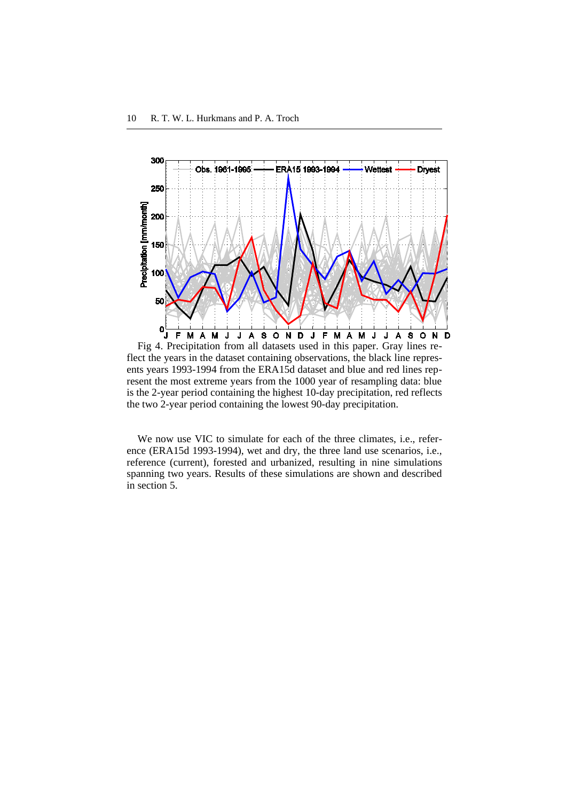

flect the years in the dataset containing observations, the black line represents years 1993-1994 from the ERA15d dataset and blue and red lines represent the most extreme years from the 1000 year of resampling data: blue is the 2-year period containing the highest 10-day precipitation, red reflects the two 2-year period containing the lowest 90-day precipitation.

We now use VIC to simulate for each of the three climates, i.e., reference (ERA15d 1993-1994), wet and dry, the three land use scenarios, i.e., reference (current), forested and urbanized, resulting in nine simulations spanning two years. Results of these simulations are shown and described in section 5.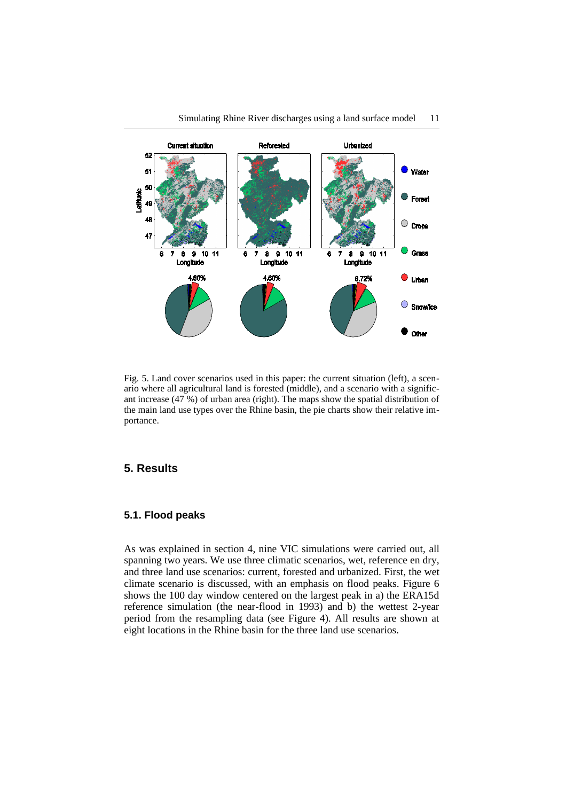

Fig. 5. Land cover scenarios used in this paper: the current situation (left), a scenario where all agricultural land is forested (middle), and a scenario with a significant increase (47 %) of urban area (right). The maps show the spatial distribution of the main land use types over the Rhine basin, the pie charts show their relative importance.

# **5. Results**

## **5.1. Flood peaks**

As was explained in section 4, nine VIC simulations were carried out, all spanning two years. We use three climatic scenarios, wet, reference en dry, and three land use scenarios: current, forested and urbanized. First, the wet climate scenario is discussed, with an emphasis on flood peaks. Figure 6 shows the 100 day window centered on the largest peak in a) the ERA15d reference simulation (the near-flood in 1993) and b) the wettest 2-year period from the resampling data (see Figure 4). All results are shown at eight locations in the Rhine basin for the three land use scenarios.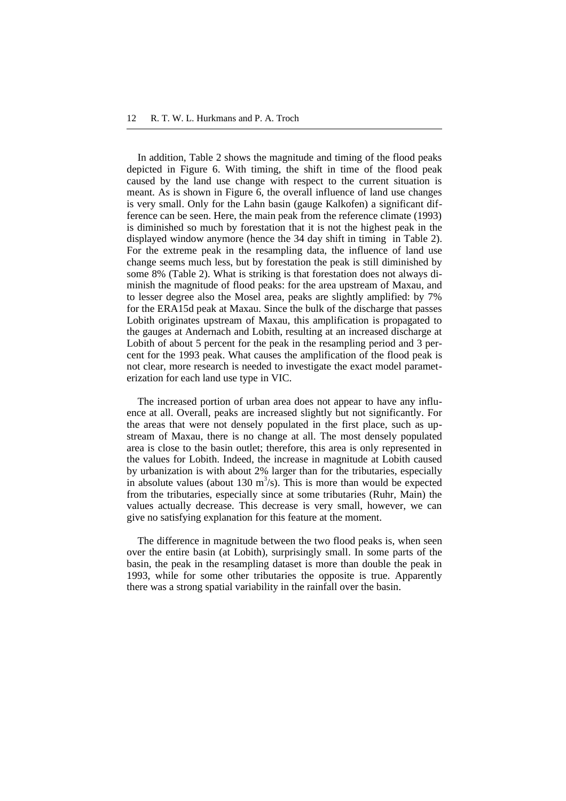In addition, Table 2 shows the magnitude and timing of the flood peaks depicted in Figure 6. With timing, the shift in time of the flood peak caused by the land use change with respect to the current situation is meant. As is shown in Figure 6, the overall influence of land use changes is very small. Only for the Lahn basin (gauge Kalkofen) a significant difference can be seen. Here, the main peak from the reference climate (1993) is diminished so much by forestation that it is not the highest peak in the displayed window anymore (hence the 34 day shift in timing in Table 2). For the extreme peak in the resampling data, the influence of land use change seems much less, but by forestation the peak is still diminished by some 8% (Table 2). What is striking is that forestation does not always diminish the magnitude of flood peaks: for the area upstream of Maxau, and to lesser degree also the Mosel area, peaks are slightly amplified: by 7% for the ERA15d peak at Maxau. Since the bulk of the discharge that passes Lobith originates upstream of Maxau, this amplification is propagated to the gauges at Andernach and Lobith, resulting at an increased discharge at Lobith of about 5 percent for the peak in the resampling period and 3 percent for the 1993 peak. What causes the amplification of the flood peak is not clear, more research is needed to investigate the exact model parameterization for each land use type in VIC.

The increased portion of urban area does not appear to have any influence at all. Overall, peaks are increased slightly but not significantly. For the areas that were not densely populated in the first place, such as upstream of Maxau, there is no change at all. The most densely populated area is close to the basin outlet; therefore, this area is only represented in the values for Lobith. Indeed, the increase in magnitude at Lobith caused by urbanization is with about 2% larger than for the tributaries, especially in absolute values (about 130  $\text{m}^3$ /s). This is more than would be expected from the tributaries, especially since at some tributaries (Ruhr, Main) the values actually decrease. This decrease is very small, however, we can give no satisfying explanation for this feature at the moment.

The difference in magnitude between the two flood peaks is, when seen over the entire basin (at Lobith), surprisingly small. In some parts of the basin, the peak in the resampling dataset is more than double the peak in 1993, while for some other tributaries the opposite is true. Apparently there was a strong spatial variability in the rainfall over the basin.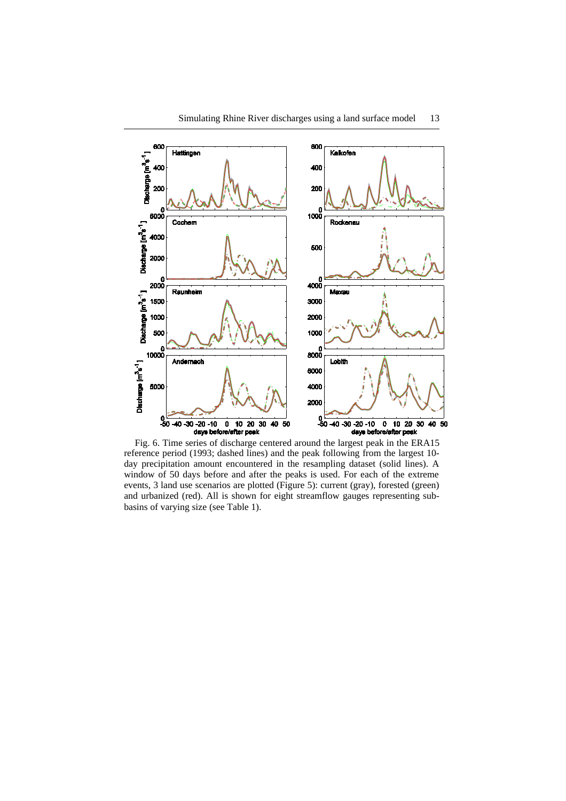

200

0<br>6000

2000

0<br>2000

1500

1000

500

0<br>10000

5000

Discharge [m<sup>3</sup>s<sup>-1</sup>] 4000

Discharge [m<sup>3</sup>s<sup>-1</sup>]

Cochem

Raunheim

Andernach

200

0<br>1000

500

0<br>4000

3000

2000 1000

 $\epsilon$ 8000

6000

4000 2000

Rockenau

Maxau

Lobith

Discharge [m<sup>3</sup>s<sup>-1</sup>]  $^{0}_{-50}$  $^{0.7}_{50}$  $-40 - 30 - 20 - 10$  $10$  20 30  $\overline{\mathbf{0}}$ 40 50  $-40 - 30 - 20 - 10$  $\overline{\textbf{0}}$ 10 20 30 40 50 days before/after peak days before/after peak Fig. 6. Time series of discharge centered around the largest peak in the ERA15 reference period (1993; dashed lines) and the peak following from the largest 10 day precipitation amount encountered in the resampling dataset (solid lines). A window of 50 days before and after the peaks is used. For each of the extreme events, 3 land use scenarios are plotted (Figure 5): current (gray), forested (green) and urbanized (red). All is shown for eight streamflow gauges representing subbasins of varying size (see Table 1).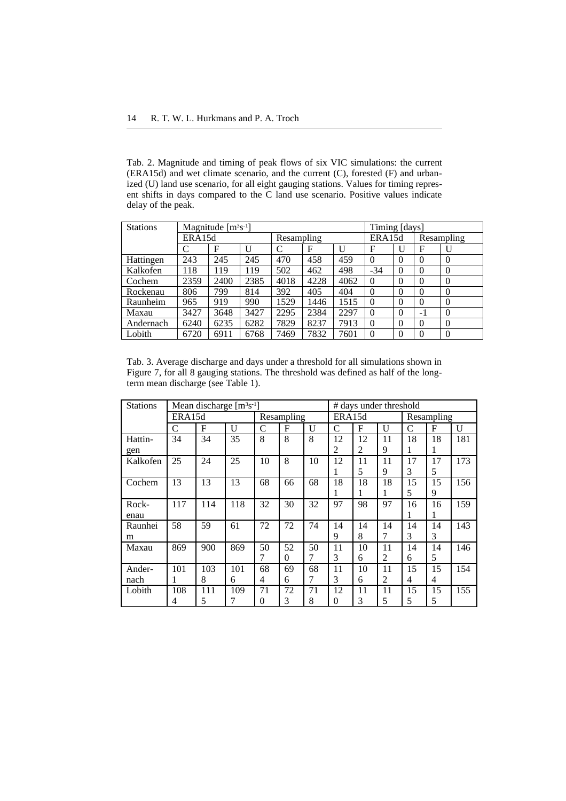Tab. 2. Magnitude and timing of peak flows of six VIC simulations: the current (ERA15d) and wet climate scenario, and the current (C), forested (F) and urbanized (U) land use scenario, for all eight gauging stations. Values for timing represent shifts in days compared to the C land use scenario. Positive values indicate delay of the peak.

| <b>Stations</b> | Magnitude $[m3s-1]$ |      |      |            |      |      |             | Timing [days] |            |          |  |
|-----------------|---------------------|------|------|------------|------|------|-------------|---------------|------------|----------|--|
|                 | ERA15d              |      |      | Resampling |      |      | ERA15d      |               | Resampling |          |  |
|                 | C                   | F    | U    |            | F    | U    | $\mathbf F$ | U             | F          | U        |  |
| Hattingen       | 243                 | 245  | 245  | 470        | 458  | 459  | $\Omega$    | $\Omega$      | 0          | $\Omega$ |  |
| Kalkofen        | 118                 | 119  | 119  | 502        | 462  | 498  | $-34$       | $\Omega$      | $\theta$   | $\theta$ |  |
| Cochem          | 2359                | 2400 | 2385 | 4018       | 4228 | 4062 | $\Omega$    | $\Omega$      | $\theta$   | $\theta$ |  |
| Rockenau        | 806                 | 799  | 814  | 392        | 405  | 404  | $\Omega$    | $\Omega$      | $\theta$   | $\Omega$ |  |
| Raunheim        | 965                 | 919  | 990  | 1529       | 1446 | 1515 | $\Omega$    | $\theta$      | $\theta$   | $\theta$ |  |
| Maxau           | 3427                | 3648 | 3427 | 2295       | 2384 | 2297 | $\Omega$    | $\Omega$      | $-1$       | $\theta$ |  |
| Andernach       | 6240                | 6235 | 6282 | 7829       | 8237 | 7913 | $\Omega$    | $\theta$      | $\theta$   | $\Omega$ |  |
| Lobith          | 6720                | 6911 | 6768 | 7469       | 7832 | 7601 | $\Omega$    | $\Omega$      | 0          | $\Omega$ |  |

Tab. 3. Average discharge and days under a threshold for all simulations shown in Figure 7, for all 8 gauging stations. The threshold was defined as half of the longterm mean discharge (see Table 1).

| <b>Stations</b> | Mean discharge $[m3s-1]$ |     |     |            |    |    | # days under threshold |    |    |            |             |     |
|-----------------|--------------------------|-----|-----|------------|----|----|------------------------|----|----|------------|-------------|-----|
|                 | ERA15d                   |     |     | Resampling |    |    | ERA15d                 |    |    | Resampling |             |     |
|                 | C                        | F   | U   | C          | F  | U  | C                      | F  | U  | C          | $\mathbf F$ | U   |
| Hattin-         | 34                       | 34  | 35  | 8          | 8  | 8  | 12                     | 12 | 11 | 18         | 18          | 181 |
| gen             |                          |     |     |            |    |    | 2                      | 2  | 9  |            |             |     |
| Kalkofen        | 25                       | 24  | 25  | 10         | 8  | 10 | 12                     | 11 | 11 | 17         | 17          | 173 |
|                 |                          |     |     |            |    |    | 1                      | 5  | 9  | 3          | 5           |     |
| Cochem          | 13                       | 13  | 13  | 68         | 66 | 68 | 18                     | 18 | 18 | 15         | 15          | 156 |
|                 |                          |     |     |            |    |    | 1                      | 1  | 1  | 5          | 9           |     |
| Rock-           | 117                      | 114 | 118 | 32         | 30 | 32 | 97                     | 98 | 97 | 16         | 16          | 159 |
| enau            |                          |     |     |            |    |    |                        |    |    | л          |             |     |
| Raunhei         | 58                       | 59  | 61  | 72         | 72 | 74 | 14                     | 14 | 14 | 14         | 14          | 143 |
| m               |                          |     |     |            |    |    | 9                      | 8  | 7  | 3          | 3           |     |
| Maxau           | 869                      | 900 | 869 | 50         | 52 | 50 | 11                     | 10 | 11 | 14         | 14          | 146 |
|                 |                          |     |     |            | 0  | 7  | 3                      | 6  | 2  | 6          | 5           |     |
| Ander-          | 101                      | 103 | 101 | 68         | 69 | 68 | 11                     | 10 | 11 | 15         | 15          | 154 |
| nach            |                          | 8   | 6   | 4          | 6  | 7  | 3                      | 6  | 2  | 4          | 4           |     |
| Lobith          | 108                      | 111 | 109 | 71         | 72 | 71 | 12                     | 11 | 11 | 15         | 15          | 155 |
|                 | 4                        | 5   | 7   | 0          | 3  | 8  | 0                      | 3  | 5  | 5          | 5           |     |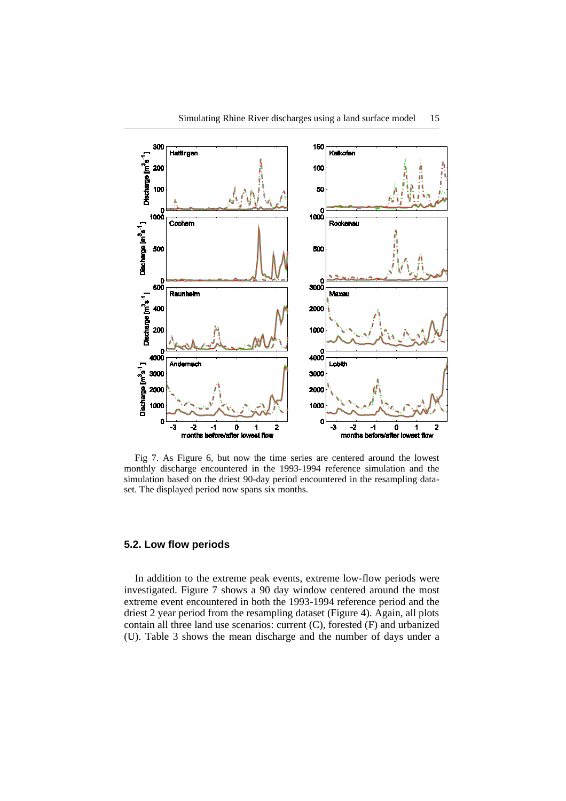

Fig 7. As Figure 6, but now the time series are centered around the lowest monthly discharge encountered in the 1993-1994 reference simulation and the simulation based on the driest 90-day period encountered in the resampling dataset. The displayed period now spans six months.

#### **5.2. Low flow periods**

In addition to the extreme peak events, extreme low-flow periods were investigated. Figure 7 shows a 90 day window centered around the most extreme event encountered in both the 1993-1994 reference period and the driest 2 year period from the resampling dataset (Figure 4). Again, all plots contain all three land use scenarios: current (C), forested (F) and urbanized (U). Table 3 shows the mean discharge and the number of days under a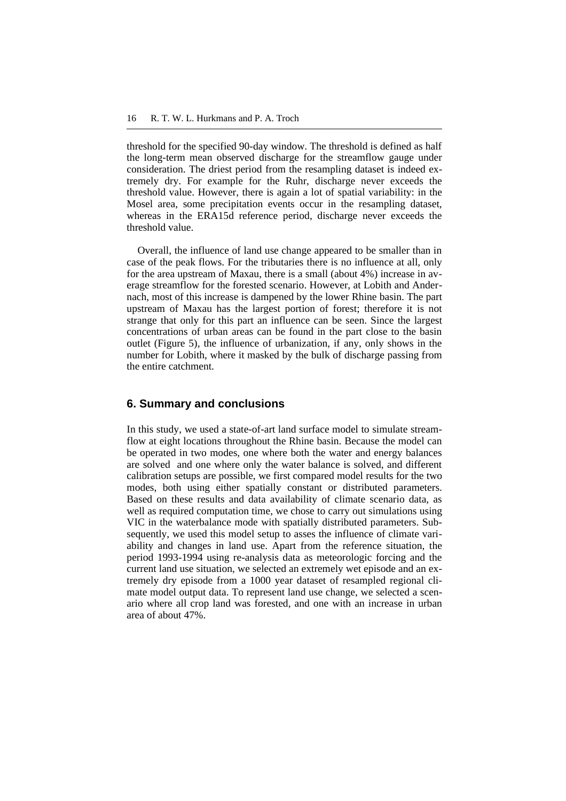threshold for the specified 90-day window. The threshold is defined as half the long-term mean observed discharge for the streamflow gauge under consideration. The driest period from the resampling dataset is indeed extremely dry. For example for the Ruhr, discharge never exceeds the threshold value. However, there is again a lot of spatial variability: in the Mosel area, some precipitation events occur in the resampling dataset, whereas in the ERA15d reference period, discharge never exceeds the threshold value.

Overall, the influence of land use change appeared to be smaller than in case of the peak flows. For the tributaries there is no influence at all, only for the area upstream of Maxau, there is a small (about 4%) increase in average streamflow for the forested scenario. However, at Lobith and Andernach, most of this increase is dampened by the lower Rhine basin. The part upstream of Maxau has the largest portion of forest; therefore it is not strange that only for this part an influence can be seen. Since the largest concentrations of urban areas can be found in the part close to the basin outlet (Figure 5), the influence of urbanization, if any, only shows in the number for Lobith, where it masked by the bulk of discharge passing from the entire catchment.

## **6. Summary and conclusions**

In this study, we used a state-of-art land surface model to simulate streamflow at eight locations throughout the Rhine basin. Because the model can be operated in two modes, one where both the water and energy balances are solved and one where only the water balance is solved, and different calibration setups are possible, we first compared model results for the two modes, both using either spatially constant or distributed parameters. Based on these results and data availability of climate scenario data, as well as required computation time, we chose to carry out simulations using VIC in the waterbalance mode with spatially distributed parameters. Subsequently, we used this model setup to asses the influence of climate variability and changes in land use. Apart from the reference situation, the period 1993-1994 using re-analysis data as meteorologic forcing and the current land use situation, we selected an extremely wet episode and an extremely dry episode from a 1000 year dataset of resampled regional climate model output data. To represent land use change, we selected a scenario where all crop land was forested, and one with an increase in urban area of about 47%.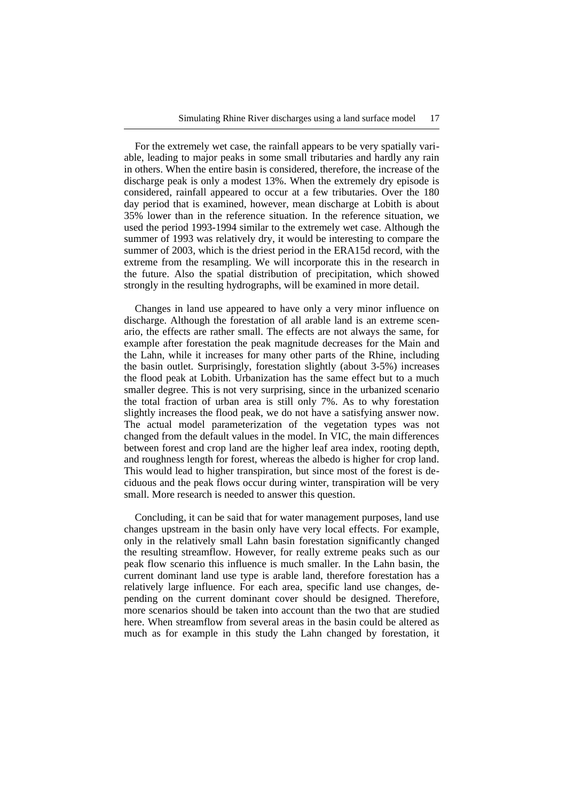For the extremely wet case, the rainfall appears to be very spatially variable, leading to major peaks in some small tributaries and hardly any rain in others. When the entire basin is considered, therefore, the increase of the discharge peak is only a modest 13%. When the extremely dry episode is considered, rainfall appeared to occur at a few tributaries. Over the 180 day period that is examined, however, mean discharge at Lobith is about 35% lower than in the reference situation. In the reference situation, we used the period 1993-1994 similar to the extremely wet case. Although the summer of 1993 was relatively dry, it would be interesting to compare the summer of 2003, which is the driest period in the ERA15d record, with the extreme from the resampling. We will incorporate this in the research in the future. Also the spatial distribution of precipitation, which showed strongly in the resulting hydrographs, will be examined in more detail.

Changes in land use appeared to have only a very minor influence on discharge. Although the forestation of all arable land is an extreme scenario, the effects are rather small. The effects are not always the same, for example after forestation the peak magnitude decreases for the Main and the Lahn, while it increases for many other parts of the Rhine, including the basin outlet. Surprisingly, forestation slightly (about 3-5%) increases the flood peak at Lobith. Urbanization has the same effect but to a much smaller degree. This is not very surprising, since in the urbanized scenario the total fraction of urban area is still only 7%. As to why forestation slightly increases the flood peak, we do not have a satisfying answer now. The actual model parameterization of the vegetation types was not changed from the default values in the model. In VIC, the main differences between forest and crop land are the higher leaf area index, rooting depth, and roughness length for forest, whereas the albedo is higher for crop land. This would lead to higher transpiration, but since most of the forest is deciduous and the peak flows occur during winter, transpiration will be very small. More research is needed to answer this question.

Concluding, it can be said that for water management purposes, land use changes upstream in the basin only have very local effects. For example, only in the relatively small Lahn basin forestation significantly changed the resulting streamflow. However, for really extreme peaks such as our peak flow scenario this influence is much smaller. In the Lahn basin, the current dominant land use type is arable land, therefore forestation has a relatively large influence. For each area, specific land use changes, depending on the current dominant cover should be designed. Therefore, more scenarios should be taken into account than the two that are studied here. When streamflow from several areas in the basin could be altered as much as for example in this study the Lahn changed by forestation, it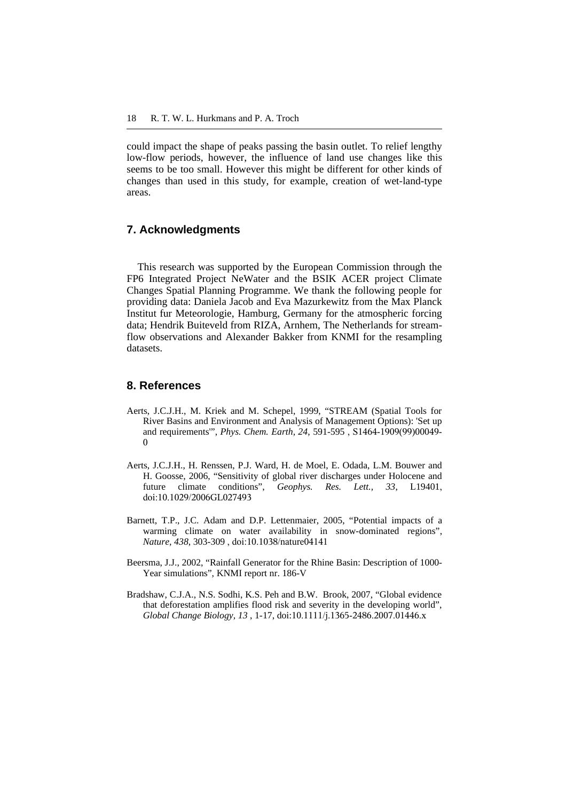could impact the shape of peaks passing the basin outlet. To relief lengthy low-flow periods, however, the influence of land use changes like this seems to be too small. However this might be different for other kinds of changes than used in this study, for example, creation of wet-land-type areas.

# **7. Acknowledgments**

This research was supported by the European Commission through the FP6 Integrated Project NeWater and the BSIK ACER project Climate Changes Spatial Planning Programme. We thank the following people for providing data: Daniela Jacob and Eva Mazurkewitz from the Max Planck Institut fur Meteorologie, Hamburg, Germany for the atmospheric forcing data; Hendrik Buiteveld from RIZA, Arnhem, The Netherlands for streamflow observations and Alexander Bakker from KNMI for the resampling datasets.

## **8. References**

- Aerts, J.C.J.H., M. Kriek and M. Schepel, 1999, "STREAM (Spatial Tools for River Basins and Environment and Analysis of Management Options): 'Set up and requirements'", *Phys. Chem. Earth, 24*, 591-595 , S1464-1909(99)00049-  $\theta$
- Aerts, J.C.J.H., H. Renssen, P.J. Ward, H. de Moel, E. Odada, L.M. Bouwer and H. Goosse, 2006, "Sensitivity of global river discharges under Holocene and future climate conditions", *Geophys. Res. Lett., 33*, L19401, doi:10.1029/2006GL027493
- Barnett, T.P., J.C. Adam and D.P. Lettenmaier, 2005, "Potential impacts of a warming climate on water availability in snow-dominated regions", *Nature, 438*, 303-309 , doi:10.1038/nature04141
- Beersma, J.J., 2002, "Rainfall Generator for the Rhine Basin: Description of 1000- Year simulations", KNMI report nr. 186-V
- Bradshaw, C.J.A., N.S. Sodhi, K.S. Peh and B.W. Brook, 2007, "Global evidence that deforestation amplifies flood risk and severity in the developing world", *Global Change Biology, 13* , 1-17, doi:10.1111/j.1365-2486.2007.01446.x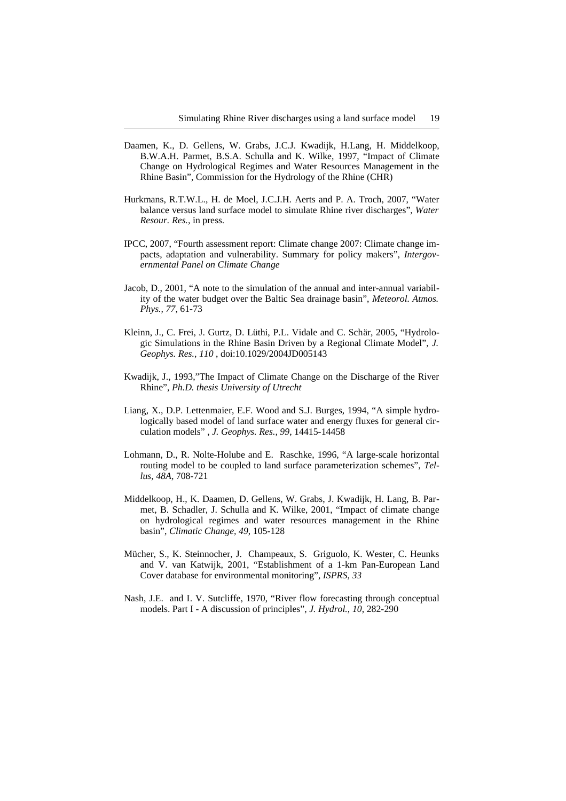- Daamen, K., D. Gellens, W. Grabs, J.C.J. Kwadijk, H.Lang, H. Middelkoop, B.W.A.H. Parmet, B.S.A. Schulla and K. Wilke, 1997, "Impact of Climate Change on Hydrological Regimes and Water Resources Management in the Rhine Basin", Commission for the Hydrology of the Rhine (CHR)
- Hurkmans, R.T.W.L., H. de Moel, J.C.J.H. Aerts and P. A. Troch, 2007, "Water balance versus land surface model to simulate Rhine river discharges", *Water Resour. Res.,* in press.
- IPCC, 2007, "Fourth assessment report: Climate change 2007: Climate change impacts, adaptation and vulnerability. Summary for policy makers", *Intergovernmental Panel on Climate Change*
- Jacob, D., 2001, "A note to the simulation of the annual and inter-annual variability of the water budget over the Baltic Sea drainage basin", *Meteorol. Atmos. Phys., 77*, 61-73
- Kleinn, J., C. Frei, J. Gurtz, D. Lüthi, P.L. Vidale and C. Schär, 2005, "Hydrologic Simulations in the Rhine Basin Driven by a Regional Climate Model", *J. Geophys. Res., 110* , doi:10.1029/2004JD005143
- Kwadijk, J., 1993,"The Impact of Climate Change on the Discharge of the River Rhine", *Ph.D. thesis University of Utrecht*
- Liang, X., D.P. Lettenmaier, E.F. Wood and S.J. Burges, 1994, "A simple hydrologically based model of land surface water and energy fluxes for general circulation models" , *J. Geophys. Res., 99*, 14415-14458
- Lohmann, D., R. Nolte-Holube and E. Raschke, 1996, "A large-scale horizontal routing model to be coupled to land surface parameterization schemes", *Tellus, 48A*, 708-721
- Middelkoop, H., K. Daamen, D. Gellens, W. Grabs, J. Kwadijk, H. Lang, B. Parmet, B. Schadler, J. Schulla and K. Wilke, 2001, "Impact of climate change on hydrological regimes and water resources management in the Rhine basin", *Climatic Change, 49*, 105-128
- Mücher, S., K. Steinnocher, J. Champeaux, S. Griguolo, K. Wester, C. Heunks and V. van Katwijk, 2001, "Establishment of a 1-km Pan-European Land Cover database for environmental monitoring", *ISPRS, 33*
- Nash, J.E. and I. V. Sutcliffe, 1970, "River flow forecasting through conceptual models. Part I - A discussion of principles", *J. Hydrol., 10*, 282-290